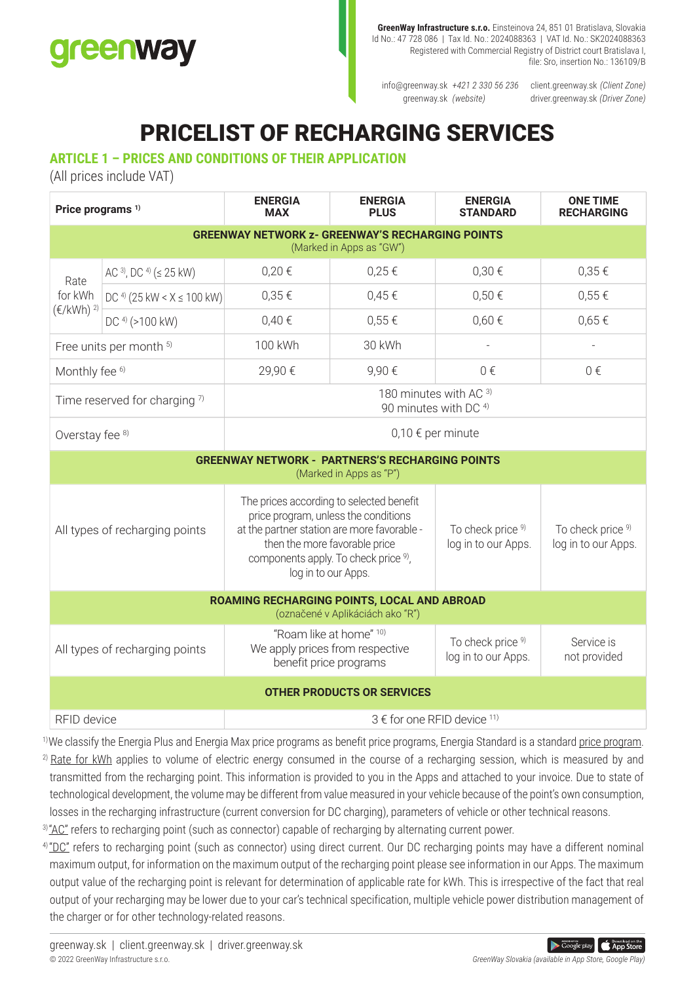# greenway

**GreenWay Infrastructure s.r.o.** Einsteinova 24, 851 01 Bratislava, Slovakia Id No.: 47 728 086 | Tax Id. No.: 2024088363 | VAT Id. No.: SK2024088363 Registered with Commercial Registry of District court Bratislava I, file: Sro, insertion No.: 136109/B

info@greenway.sk *+421 2 330 56 236* client.greenway.sk *(Client Zone)* greenway.sk *(website)*

driver.greenway.sk *(Driver Zone)*

# PRICELIST OF RECHARGING SERVICES

## **ARTICLE 1 – PRICES AND CONDITIONS OF THEIR APPLICATION**

(All prices include VAT)

| Price programs <sup>1)</sup>                                                        |                                           | <b>ENERGIA</b><br><b>MAX</b>                                                                                                                                                                                                                | <b>ENERGIA</b><br><b>PLUS</b> | <b>ENERGIA</b><br><b>STANDARD</b>        | <b>ONE TIME</b><br><b>RECHARGING</b>     |
|-------------------------------------------------------------------------------------|-------------------------------------------|---------------------------------------------------------------------------------------------------------------------------------------------------------------------------------------------------------------------------------------------|-------------------------------|------------------------------------------|------------------------------------------|
| <b>GREENWAY NETWORK Z- GREENWAY'S RECHARGING POINTS</b><br>(Marked in Apps as "GW") |                                           |                                                                                                                                                                                                                                             |                               |                                          |                                          |
| Rate<br>for kWh<br>$(\text{E/KWh})^{2}$                                             | AC $^{3}$ , DC $^{4}$ ( $\leq$ 25 kW)     | 0,20€                                                                                                                                                                                                                                       | 0,25€                         | 0,30€                                    | 0,35€                                    |
|                                                                                     | DC <sup>4)</sup> (25 kW < $X \le 100$ kW) | 0,35€                                                                                                                                                                                                                                       | 0,45€                         | 0,50€                                    | 0,55€                                    |
|                                                                                     | DC <sup>4)</sup> (>100 kW)                | 0,40€                                                                                                                                                                                                                                       | 0,55€                         | $0,60 \in$                               | $0,65 \in$                               |
| Free units per month 5)                                                             |                                           | 100 kWh                                                                                                                                                                                                                                     | 30 kWh                        |                                          |                                          |
| Monthly fee <sup>6)</sup>                                                           |                                           | 29,90€                                                                                                                                                                                                                                      | 9,90€                         | $0 \in$                                  | 0€                                       |
| Time reserved for charging 7)                                                       |                                           | 180 minutes with AC <sup>3)</sup><br>90 minutes with DC <sup>4)</sup>                                                                                                                                                                       |                               |                                          |                                          |
| Overstay fee 8)                                                                     |                                           | $0,10 \in$ per minute                                                                                                                                                                                                                       |                               |                                          |                                          |
| <b>GREENWAY NETWORK - PARTNERS'S RECHARGING POINTS</b><br>(Marked in Apps as "P")   |                                           |                                                                                                                                                                                                                                             |                               |                                          |                                          |
| All types of recharging points                                                      |                                           | The prices according to selected benefit<br>price program, unless the conditions<br>at the partner station are more favorable -<br>then the more favorable price<br>components apply. To check price <sup>9)</sup> ,<br>log in to our Apps. |                               | To check price 9)<br>log in to our Apps. | To check price 9)<br>log in to our Apps. |
| ROAMING RECHARGING POINTS, LOCAL AND ABROAD<br>(označené v Aplikáciách ako "R")     |                                           |                                                                                                                                                                                                                                             |                               |                                          |                                          |
| All types of recharging points                                                      |                                           | "Roam like at home" 10)<br>We apply prices from respective<br>benefit price programs                                                                                                                                                        |                               | To check price 9)<br>log in to our Apps. | Service is<br>not provided               |
| <b>OTHER PRODUCTS OR SERVICES</b>                                                   |                                           |                                                                                                                                                                                                                                             |                               |                                          |                                          |
| RFID device                                                                         |                                           | 3 € for one RFID device 11)                                                                                                                                                                                                                 |                               |                                          |                                          |

<sup>1)</sup>We classify the Energia Plus and Energia Max price programs as benefit price programs, Energia Standard is a standard price program.

<sup>2)</sup> Rate for kWh applies to volume of electric energy consumed in the course of a recharging session, which is measured by and transmitted from the recharging point. This information is provided to you in the Apps and attached to your invoice. Due to state of technological development, the volume may be different from value measured in your vehicle because of the point's own consumption, losses in the recharging infrastructure (current conversion for DC charging), parameters of vehicle or other technical reasons.

<sup>3)</sup>"AC" refers to recharging point (such as connector) capable of recharging by alternating current power.

 $4^{\circ}$   $\mathbb{D}$  refers to recharging point (such as connector) using direct current. Our DC recharging points may have a different nominal maximum output, for information on the maximum output of the recharging point please see information in our Apps. The maximum output value of the recharging point is relevant for determination of applicable rate for kWh. This is irrespective of the fact that real output of your recharging may be lower due to your car's technical specification, multiple vehicle power distribution management of the charger or for other technology-related reasons.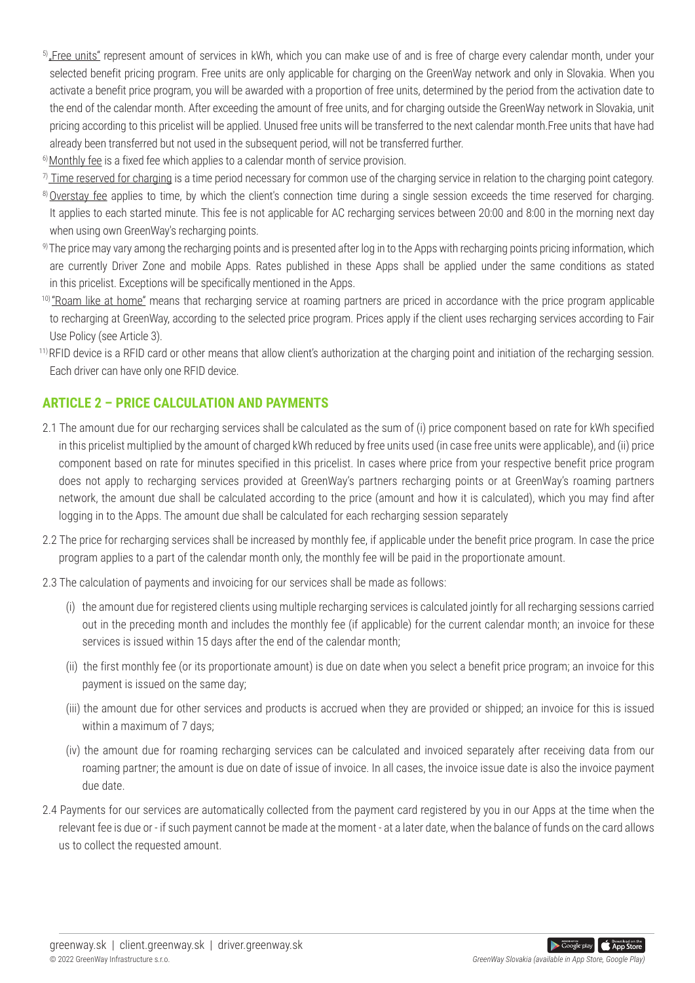- <sup>5)</sup>. Free units" represent amount of services in kWh, which you can make use of and is free of charge every calendar month, under your selected benefit pricing program. Free units are only applicable for charging on the GreenWay network and only in Slovakia. When you activate a benefit price program, you will be awarded with a proportion of free units, determined by the period from the activation date to the end of the calendar month. After exceeding the amount of free units, and for charging outside the GreenWay network in Slovakia, unit pricing according to this pricelist will be applied. Unused free units will be transferred to the next calendar month.Free units that have had already been transferred but not used in the subsequent period, will not be transferred further.
- $6$ ) Monthly fee is a fixed fee which applies to a calendar month of service provision.
- $\eta$  Time reserved for charging is a time period necessary for common use of the charging service in relation to the charging point category.
- 8) Overstay fee applies to time, by which the client's connection time during a single session exceeds the time reserved for charging. It applies to each started minute. This fee is not applicable for AC recharging services between 20:00 and 8:00 in the morning next day when using own GreenWay's recharging points.
- 9) The price may vary among the recharging points and is presented after log in to the Apps with recharging points pricing information, which are currently Driver Zone and mobile Apps. Rates published in these Apps shall be applied under the same conditions as stated in this pricelist. Exceptions will be specifically mentioned in the Apps.
- <sup>10)</sup> "Roam like at home" means that recharging service at roaming partners are priced in accordance with the price program applicable to recharging at GreenWay, according to the selected price program. Prices apply if the client uses recharging services according to Fair Use Policy (see Article 3).
- <sup>11)</sup> RFID device is a RFID card or other means that allow client's authorization at the charging point and initiation of the recharging session. Each driver can have only one RFID device.

## **ARTICLE 2 – PRICE CALCULATION AND PAYMENTS**

- 2.1 The amount due for our recharging services shall be calculated as the sum of (i) price component based on rate for kWh specified in this pricelist multiplied by the amount of charged kWh reduced by free units used (in case free units were applicable), and (ii) price component based on rate for minutes specified in this pricelist. In cases where price from your respective benefit price program does not apply to recharging services provided at GreenWay's partners recharging points or at GreenWay's roaming partners network, the amount due shall be calculated according to the price (amount and how it is calculated), which you may find after logging in to the Apps. The amount due shall be calculated for each recharging session separately
- 2.2 The price for recharging services shall be increased by monthly fee, if applicable under the benefit price program. In case the price program applies to a part of the calendar month only, the monthly fee will be paid in the proportionate amount.
- 2.3 The calculation of payments and invoicing for our services shall be made as follows:
	- (i) the amount due for registered clients using multiple recharging services is calculated jointly for all recharging sessions carried out in the preceding month and includes the monthly fee (if applicable) for the current calendar month; an invoice for these services is issued within 15 days after the end of the calendar month;
	- (ii) the first monthly fee (or its proportionate amount) is due on date when you select a benefit price program; an invoice for this payment is issued on the same day;
	- (iii) the amount due for other services and products is accrued when they are provided or shipped; an invoice for this is issued within a maximum of 7 days;
	- (iv) the amount due for roaming recharging services can be calculated and invoiced separately after receiving data from our roaming partner; the amount is due on date of issue of invoice. In all cases, the invoice issue date is also the invoice payment due date.
- 2.4 Payments for our services are automatically collected from the payment card registered by you in our Apps at the time when the relevant fee is due or - if such payment cannot be made at the moment - at a later date, when the balance of funds on the card allows us to collect the requested amount.